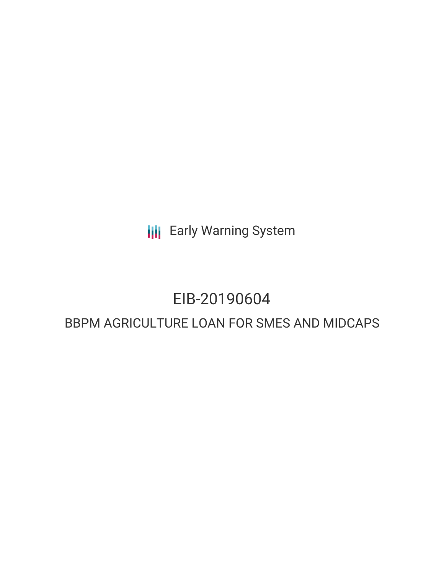**III** Early Warning System

# EIB-20190604

# BBPM AGRICULTURE LOAN FOR SMES AND MIDCAPS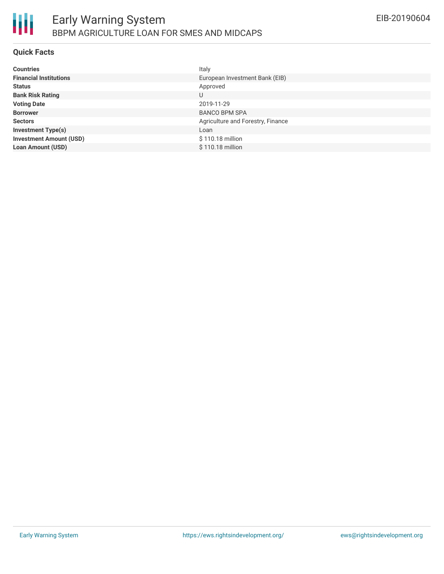

#### **Quick Facts**

| <b>Countries</b>               | Italy                             |
|--------------------------------|-----------------------------------|
| <b>Financial Institutions</b>  | European Investment Bank (EIB)    |
| <b>Status</b>                  | Approved                          |
| <b>Bank Risk Rating</b>        | U                                 |
| <b>Voting Date</b>             | 2019-11-29                        |
| <b>Borrower</b>                | <b>BANCO BPM SPA</b>              |
| <b>Sectors</b>                 | Agriculture and Forestry, Finance |
| <b>Investment Type(s)</b>      | Loan                              |
| <b>Investment Amount (USD)</b> | \$110.18 million                  |
| <b>Loan Amount (USD)</b>       | \$110.18 million                  |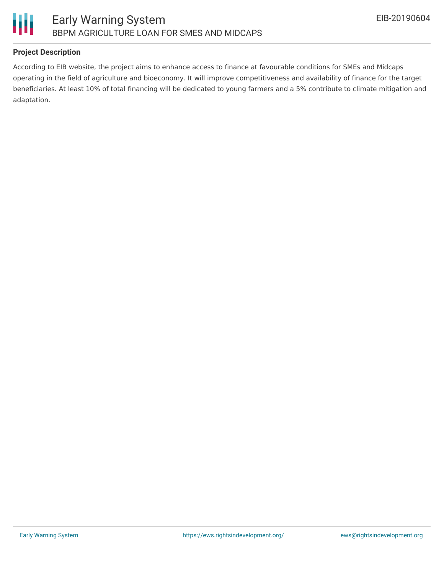

## **Project Description**

According to EIB website, the project aims to enhance access to finance at favourable conditions for SMEs and Midcaps operating in the field of agriculture and bioeconomy. It will improve competitiveness and availability of finance for the target beneficiaries. At least 10% of total financing will be dedicated to young farmers and a 5% contribute to climate mitigation and adaptation.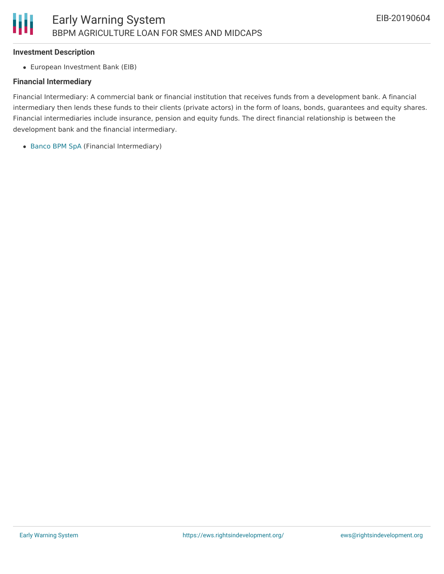#### **Investment Description**

European Investment Bank (EIB)

#### **Financial Intermediary**

Financial Intermediary: A commercial bank or financial institution that receives funds from a development bank. A financial intermediary then lends these funds to their clients (private actors) in the form of loans, bonds, guarantees and equity shares. Financial intermediaries include insurance, pension and equity funds. The direct financial relationship is between the development bank and the financial intermediary.

[Banco](file:///actor/2665/) BPM SpA (Financial Intermediary)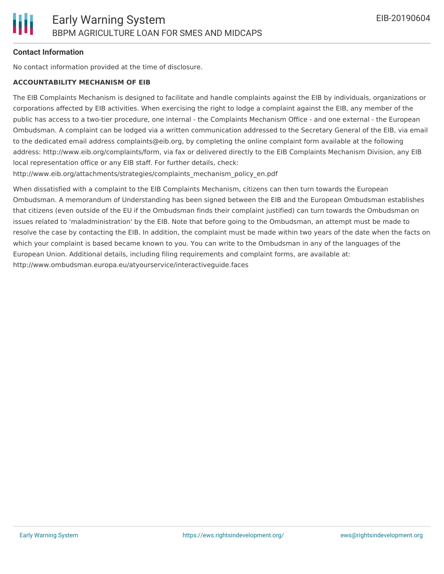### **Contact Information**

No contact information provided at the time of disclosure.

#### **ACCOUNTABILITY MECHANISM OF EIB**

The EIB Complaints Mechanism is designed to facilitate and handle complaints against the EIB by individuals, organizations or corporations affected by EIB activities. When exercising the right to lodge a complaint against the EIB, any member of the public has access to a two-tier procedure, one internal - the Complaints Mechanism Office - and one external - the European Ombudsman. A complaint can be lodged via a written communication addressed to the Secretary General of the EIB, via email to the dedicated email address complaints@eib.org, by completing the online complaint form available at the following address: http://www.eib.org/complaints/form, via fax or delivered directly to the EIB Complaints Mechanism Division, any EIB local representation office or any EIB staff. For further details, check:

http://www.eib.org/attachments/strategies/complaints\_mechanism\_policy\_en.pdf

When dissatisfied with a complaint to the EIB Complaints Mechanism, citizens can then turn towards the European Ombudsman. A memorandum of Understanding has been signed between the EIB and the European Ombudsman establishes that citizens (even outside of the EU if the Ombudsman finds their complaint justified) can turn towards the Ombudsman on issues related to 'maladministration' by the EIB. Note that before going to the Ombudsman, an attempt must be made to resolve the case by contacting the EIB. In addition, the complaint must be made within two years of the date when the facts on which your complaint is based became known to you. You can write to the Ombudsman in any of the languages of the European Union. Additional details, including filing requirements and complaint forms, are available at: http://www.ombudsman.europa.eu/atyourservice/interactiveguide.faces